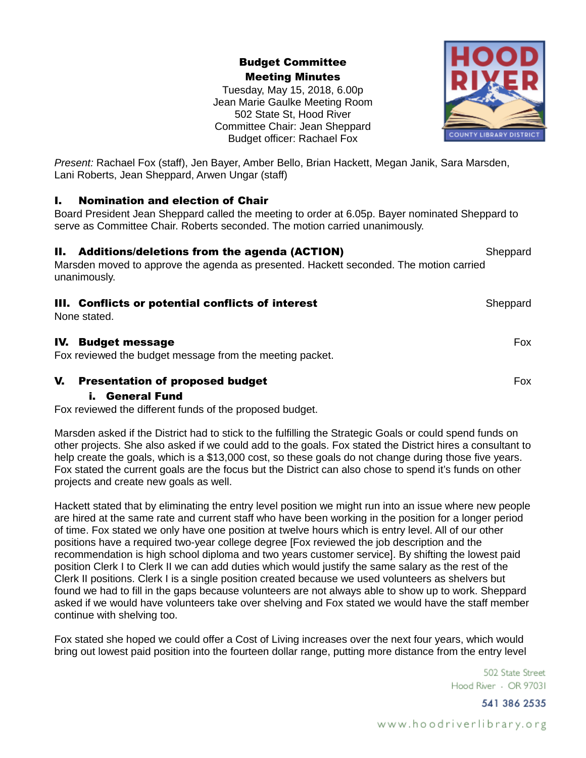Budget Committee Meeting Minutes

Tuesday, May 15, 2018, 6.00p Jean Marie Gaulke Meeting Room 502 State St, Hood River Committee Chair: Jean Sheppard Budget officer: Rachael Fox



*Present:* Rachael Fox (staff), Jen Bayer, Amber Bello, Brian Hackett, Megan Janik, Sara Marsden, Lani Roberts, Jean Sheppard, Arwen Ungar (staff)

### I. Nomination and election of Chair

Board President Jean Sheppard called the meeting to order at 6.05p. Bayer nominated Sheppard to serve as Committee Chair. Roberts seconded. The motion carried unanimously.

### **II. Additions/deletions from the agenda (ACTION)** Sheppard

Marsden moved to approve the agenda as presented. Hackett seconded. The motion carried unanimously.

### **III. Conflicts or potential conflicts of interest** Sheppard Sheppard

None stated.

#### IV. Budget message Fox

Fox reviewed the budget message from the meeting packet.

### **V.** Presentation of proposed budget Fox and the set of the Fox and Fox and Fox and Fox and Fox and Fox and Fox

### i. General Fund

Fox reviewed the different funds of the proposed budget.

Marsden asked if the District had to stick to the fulfilling the Strategic Goals or could spend funds on other projects. She also asked if we could add to the goals. Fox stated the District hires a consultant to help create the goals, which is a \$13,000 cost, so these goals do not change during those five years. Fox stated the current goals are the focus but the District can also chose to spend it's funds on other projects and create new goals as well.

Hackett stated that by eliminating the entry level position we might run into an issue where new people are hired at the same rate and current staff who have been working in the position for a longer period of time. Fox stated we only have one position at twelve hours which is entry level. All of our other positions have a required two-year college degree [Fox reviewed the job description and the recommendation is high school diploma and two years customer service]. By shifting the lowest paid position Clerk I to Clerk II we can add duties which would justify the same salary as the rest of the Clerk II positions. Clerk I is a single position created because we used volunteers as shelvers but found we had to fill in the gaps because volunteers are not always able to show up to work. Sheppard asked if we would have volunteers take over shelving and Fox stated we would have the staff member continue with shelving too.

Fox stated she hoped we could offer a Cost of Living increases over the next four years, which would bring out lowest paid position into the fourteen dollar range, putting more distance from the entry level

> 502 State Street Hood River - OR 97031

> > 541 386 2535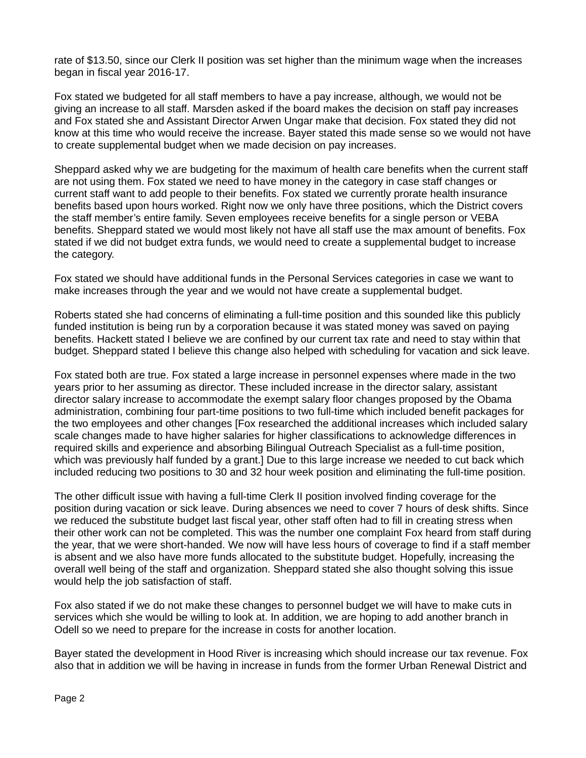rate of \$13.50, since our Clerk II position was set higher than the minimum wage when the increases began in fiscal year 2016-17.

Fox stated we budgeted for all staff members to have a pay increase, although, we would not be giving an increase to all staff. Marsden asked if the board makes the decision on staff pay increases and Fox stated she and Assistant Director Arwen Ungar make that decision. Fox stated they did not know at this time who would receive the increase. Bayer stated this made sense so we would not have to create supplemental budget when we made decision on pay increases.

Sheppard asked why we are budgeting for the maximum of health care benefits when the current staff are not using them. Fox stated we need to have money in the category in case staff changes or current staff want to add people to their benefits. Fox stated we currently prorate health insurance benefits based upon hours worked. Right now we only have three positions, which the District covers the staff member's entire family. Seven employees receive benefits for a single person or VEBA benefits. Sheppard stated we would most likely not have all staff use the max amount of benefits. Fox stated if we did not budget extra funds, we would need to create a supplemental budget to increase the category.

Fox stated we should have additional funds in the Personal Services categories in case we want to make increases through the year and we would not have create a supplemental budget.

Roberts stated she had concerns of eliminating a full-time position and this sounded like this publicly funded institution is being run by a corporation because it was stated money was saved on paying benefits. Hackett stated I believe we are confined by our current tax rate and need to stay within that budget. Sheppard stated I believe this change also helped with scheduling for vacation and sick leave.

Fox stated both are true. Fox stated a large increase in personnel expenses where made in the two years prior to her assuming as director. These included increase in the director salary, assistant director salary increase to accommodate the exempt salary floor changes proposed by the Obama administration, combining four part-time positions to two full-time which included benefit packages for the two employees and other changes [Fox researched the additional increases which included salary scale changes made to have higher salaries for higher classifications to acknowledge differences in required skills and experience and absorbing Bilingual Outreach Specialist as a full-time position, which was previously half funded by a grant.] Due to this large increase we needed to cut back which included reducing two positions to 30 and 32 hour week position and eliminating the full-time position.

The other difficult issue with having a full-time Clerk II position involved finding coverage for the position during vacation or sick leave. During absences we need to cover 7 hours of desk shifts. Since we reduced the substitute budget last fiscal year, other staff often had to fill in creating stress when their other work can not be completed. This was the number one complaint Fox heard from staff during the year, that we were short-handed. We now will have less hours of coverage to find if a staff member is absent and we also have more funds allocated to the substitute budget. Hopefully, increasing the overall well being of the staff and organization. Sheppard stated she also thought solving this issue would help the job satisfaction of staff.

Fox also stated if we do not make these changes to personnel budget we will have to make cuts in services which she would be willing to look at. In addition, we are hoping to add another branch in Odell so we need to prepare for the increase in costs for another location.

Bayer stated the development in Hood River is increasing which should increase our tax revenue. Fox also that in addition we will be having in increase in funds from the former Urban Renewal District and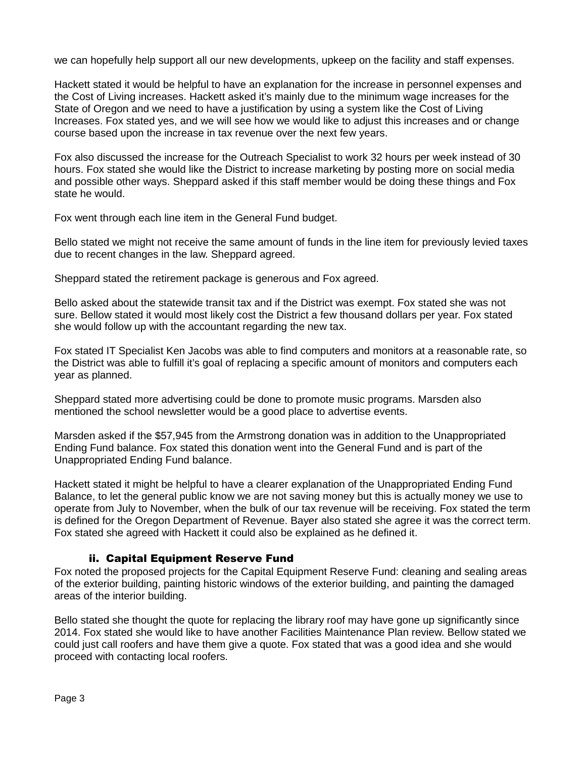we can hopefully help support all our new developments, upkeep on the facility and staff expenses.

Hackett stated it would be helpful to have an explanation for the increase in personnel expenses and the Cost of Living increases. Hackett asked it's mainly due to the minimum wage increases for the State of Oregon and we need to have a justification by using a system like the Cost of Living Increases. Fox stated yes, and we will see how we would like to adjust this increases and or change course based upon the increase in tax revenue over the next few years.

Fox also discussed the increase for the Outreach Specialist to work 32 hours per week instead of 30 hours. Fox stated she would like the District to increase marketing by posting more on social media and possible other ways. Sheppard asked if this staff member would be doing these things and Fox state he would.

Fox went through each line item in the General Fund budget.

Bello stated we might not receive the same amount of funds in the line item for previously levied taxes due to recent changes in the law. Sheppard agreed.

Sheppard stated the retirement package is generous and Fox agreed.

Bello asked about the statewide transit tax and if the District was exempt. Fox stated she was not sure. Bellow stated it would most likely cost the District a few thousand dollars per year. Fox stated she would follow up with the accountant regarding the new tax.

Fox stated IT Specialist Ken Jacobs was able to find computers and monitors at a reasonable rate, so the District was able to fulfill it's goal of replacing a specific amount of monitors and computers each year as planned.

Sheppard stated more advertising could be done to promote music programs. Marsden also mentioned the school newsletter would be a good place to advertise events.

Marsden asked if the \$57,945 from the Armstrong donation was in addition to the Unappropriated Ending Fund balance. Fox stated this donation went into the General Fund and is part of the Unappropriated Ending Fund balance.

Hackett stated it might be helpful to have a clearer explanation of the Unappropriated Ending Fund Balance, to let the general public know we are not saving money but this is actually money we use to operate from July to November, when the bulk of our tax revenue will be receiving. Fox stated the term is defined for the Oregon Department of Revenue. Bayer also stated she agree it was the correct term. Fox stated she agreed with Hackett it could also be explained as he defined it.

## ii. Capital Equipment Reserve Fund

Fox noted the proposed projects for the Capital Equipment Reserve Fund: cleaning and sealing areas of the exterior building, painting historic windows of the exterior building, and painting the damaged areas of the interior building.

Bello stated she thought the quote for replacing the library roof may have gone up significantly since 2014. Fox stated she would like to have another Facilities Maintenance Plan review. Bellow stated we could just call roofers and have them give a quote. Fox stated that was a good idea and she would proceed with contacting local roofers.